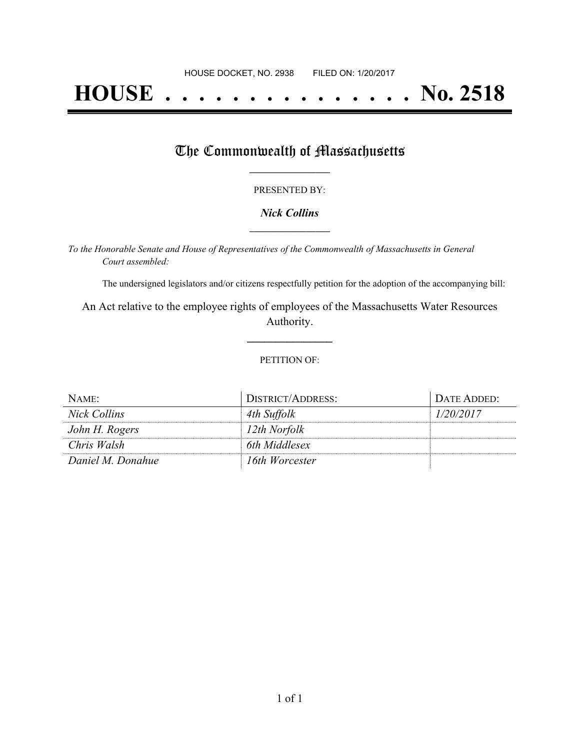# **HOUSE . . . . . . . . . . . . . . . No. 2518**

## The Commonwealth of Massachusetts

#### PRESENTED BY:

#### *Nick Collins* **\_\_\_\_\_\_\_\_\_\_\_\_\_\_\_\_\_**

*To the Honorable Senate and House of Representatives of the Commonwealth of Massachusetts in General Court assembled:*

The undersigned legislators and/or citizens respectfully petition for the adoption of the accompanying bill:

An Act relative to the employee rights of employees of the Massachusetts Water Resources Authority.

**\_\_\_\_\_\_\_\_\_\_\_\_\_\_\_**

#### PETITION OF:

| NAME:             | DISTRICT/ADDRESS: | DATE ADDED: |
|-------------------|-------------------|-------------|
| Nick Collins      | 4th Suffolk       | 1/20/2017   |
| John H. Rogers    | 12th Norfolk      |             |
| Chris Walsh       | 6th Middlesex     |             |
| Daniel M. Donahue | 16th Worcester    |             |